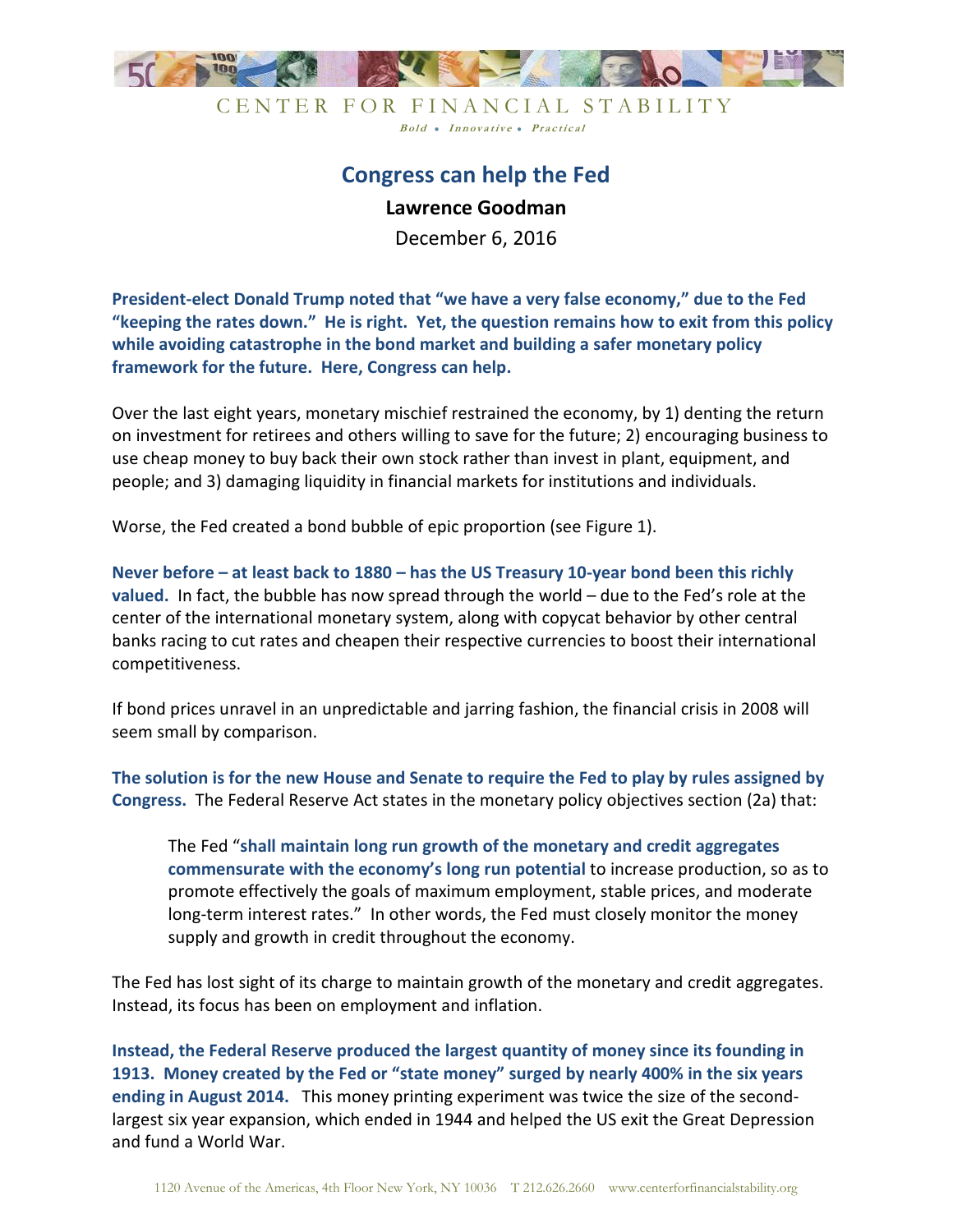

CENTER FOR FINANCIAL STABILITY Bold • Innovative • Practical

## **Congress can help the Fed Lawrence Goodman**

December 6, 2016

**President-elect Donald Trump noted that "we have a very false economy," due to the Fed "keeping the rates down." He is right. Yet, the question remains how to exit from this policy while avoiding catastrophe in the bond market and building a safer monetary policy framework for the future. Here, Congress can help.**

Over the last eight years, monetary mischief restrained the economy, by 1) denting the return on investment for retirees and others willing to save for the future; 2) encouraging business to use cheap money to buy back their own stock rather than invest in plant, equipment, and people; and 3) damaging liquidity in financial markets for institutions and individuals.

Worse, the Fed created a bond bubble of epic proportion (see Figure 1).

**Never before – at least back to 1880 – has the US Treasury 10-year bond been this richly valued.** In fact, the bubble has now spread through the world – due to the Fed's role at the center of the international monetary system, along with copycat behavior by other central banks racing to cut rates and cheapen their respective currencies to boost their international competitiveness.

If bond prices unravel in an unpredictable and jarring fashion, the financial crisis in 2008 will seem small by comparison.

**The solution is for the new House and Senate to require the Fed to play by rules assigned by Congress.** The Federal Reserve Act states in the monetary policy objectives section (2a) that:

The Fed "**shall maintain long run growth of the monetary and credit aggregates commensurate with the economy's long run potential** to increase production, so as to promote effectively the goals of maximum employment, stable prices, and moderate long-term interest rates." In other words, the Fed must closely monitor the money supply and growth in credit throughout the economy.

The Fed has lost sight of its charge to maintain growth of the monetary and credit aggregates. Instead, its focus has been on employment and inflation.

**Instead, the Federal Reserve produced the largest quantity of money since its founding in 1913. Money created by the Fed or "state money" surged by nearly 400% in the six years ending in August 2014.** This money printing experiment was twice the size of the secondlargest six year expansion, which ended in 1944 and helped the US exit the Great Depression and fund a World War.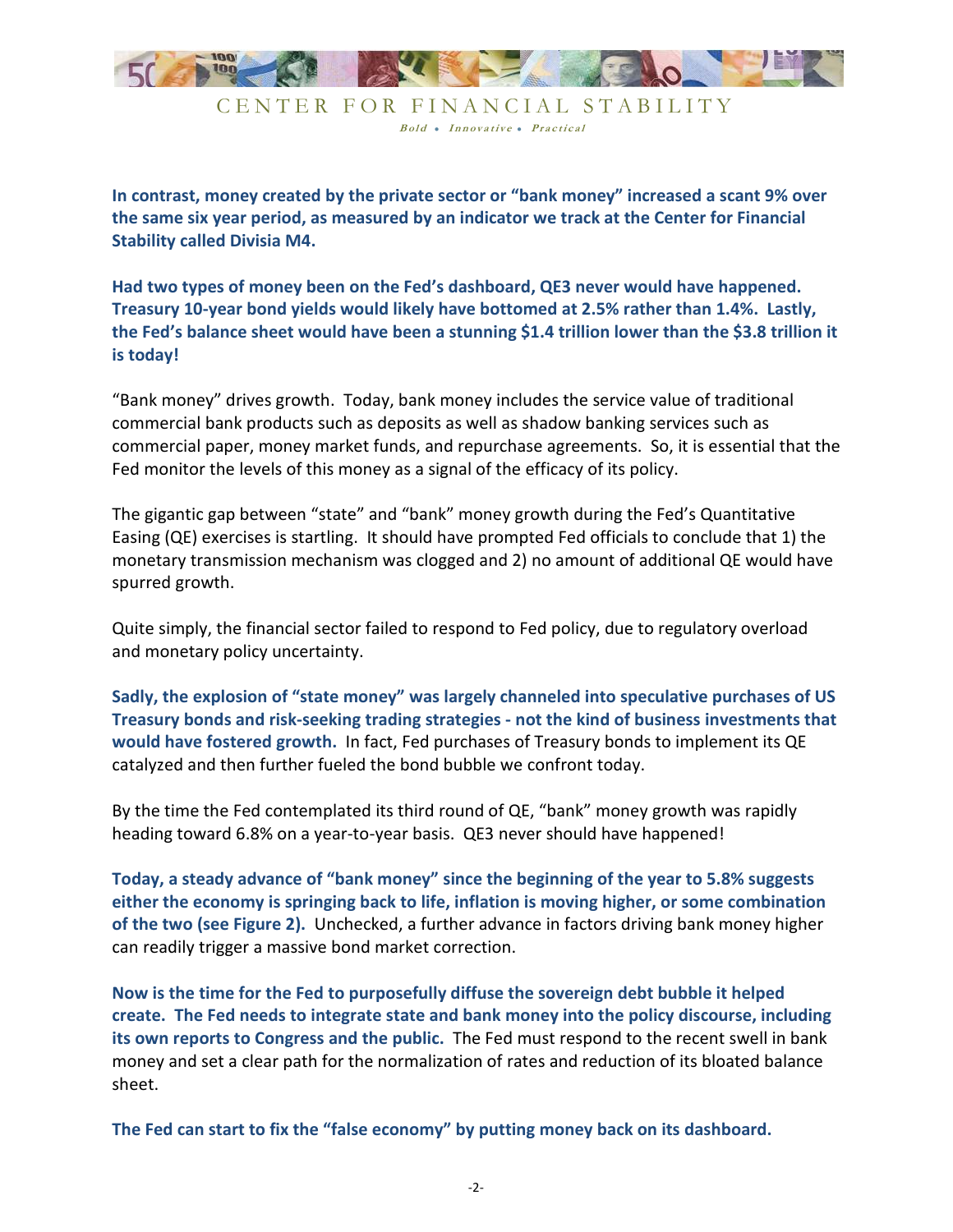

Bold • Innovative • Practical

**In contrast, money created by the private sector or "bank money" increased a scant 9% over the same six year period, as measured by an indicator we track at the Center for Financial Stability called Divisia M4.** 

**Had two types of money been on the Fed's dashboard, QE3 never would have happened. Treasury 10-year bond yields would likely have bottomed at 2.5% rather than 1.4%. Lastly, the Fed's balance sheet would have been a stunning \$1.4 trillion lower than the \$3.8 trillion it is today!** 

"Bank money" drives growth. Today, bank money includes the service value of traditional commercial bank products such as deposits as well as shadow banking services such as commercial paper, money market funds, and repurchase agreements. So, it is essential that the Fed monitor the levels of this money as a signal of the efficacy of its policy.

The gigantic gap between "state" and "bank" money growth during the Fed's Quantitative Easing (QE) exercises is startling. It should have prompted Fed officials to conclude that 1) the monetary transmission mechanism was clogged and 2) no amount of additional QE would have spurred growth.

Quite simply, the financial sector failed to respond to Fed policy, due to regulatory overload and monetary policy uncertainty.

**Sadly, the explosion of "state money" was largely channeled into speculative purchases of US Treasury bonds and risk-seeking trading strategies - not the kind of business investments that would have fostered growth.** In fact, Fed purchases of Treasury bonds to implement its QE catalyzed and then further fueled the bond bubble we confront today.

By the time the Fed contemplated its third round of QE, "bank" money growth was rapidly heading toward 6.8% on a year-to-year basis. QE3 never should have happened!

**Today, a steady advance of "bank money" since the beginning of the year to 5.8% suggests either the economy is springing back to life, inflation is moving higher, or some combination of the two (see Figure 2).** Unchecked, a further advance in factors driving bank money higher can readily trigger a massive bond market correction.

**Now is the time for the Fed to purposefully diffuse the sovereign debt bubble it helped create. The Fed needs to integrate state and bank money into the policy discourse, including its own reports to Congress and the public.** The Fed must respond to the recent swell in bank money and set a clear path for the normalization of rates and reduction of its bloated balance sheet.

**The Fed can start to fix the "false economy" by putting money back on its dashboard.**